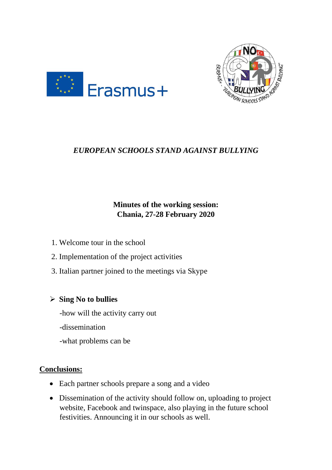



# *EUROPEAN SCHOOLS STAND AGAINST BULLYING*

## **Minutes of the working session: Chania, 27-28 February 2020**

- 1. Welcome tour in the school
- 2. Implementation of the project activities
- 3. Italian partner joined to the meetings via Skype

### ➢ **Sing No to bullies**

-how will the activity carry out

- -dissemination
- -what problems can be

### **Conclusions:**

- Each partner schools prepare a song and a video
- Dissemination of the activity should follow on, uploading to project website, Facebook and twinspace, also playing in the future school festivities. Announcing it in our schools as well.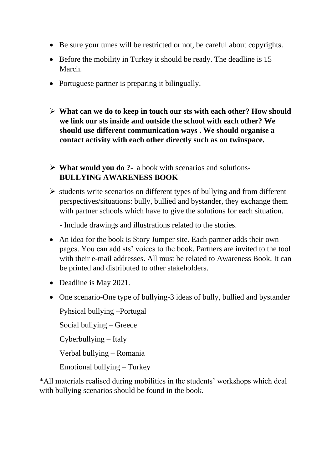- Be sure your tunes will be restricted or not, be careful about copyrights.
- Before the mobility in Turkey it should be ready. The deadline is 15 March.
- Portuguese partner is preparing it bilingually.
- ➢ **What can we do to keep in touch our sts with each other? How should we link our sts inside and outside the school with each other? We should use different communication ways . We should organise a contact activity with each other directly such as on twinspace.**
- ➢ **What would you do ?-** a book with scenarios and solutions-**BULLYING AWARENESS BOOK**
- ➢ students write scenarios on different types of bullying and from different perspectives/situations: bully, bullied and bystander, they exchange them with partner schools which have to give the solutions for each situation.

- Include drawings and illustrations related to the stories.

- An idea for the book is Story Jumper site. Each partner adds their own pages. You can add sts' voices to the book. Partners are invited to the tool with their e-mail addresses. All must be related to Awareness Book. It can be printed and distributed to other stakeholders.
- Deadline is May 2021.
- One scenario-One type of bullying-3 ideas of bully, bullied and bystander Pyhsical bullying –Portugal

Social bullying – Greece

Cyberbullying – Italy

Verbal bullying – Romania

Emotional bullying – Turkey

\*All materials realised during mobilities in the students' workshops which deal with bullying scenarios should be found in the book.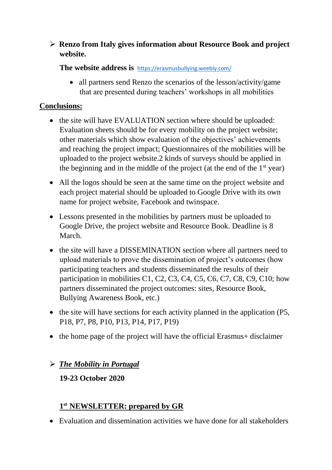### ➢ **Renzo from Italy gives information about Resource Book and project website.**

#### **The website address is** <https://erasmusbullying.weebly.com/>

• all partners send Renzo the scenarios of the lesson/activity/game that are presented during teachers' workshops in all mobilities

#### **Conclusions:**

- the site will have EVALUATION section where should be uploaded: Evaluation sheets should be for every mobility on the project website; other materials which show evaluation of the objectives' achievements and reaching the project impact; Questionnaires of the mobilities will be uploaded to the project website.2 kinds of surveys should be applied in the beginning and in the middle of the project (at the end of the  $1<sup>st</sup>$  year)
- All the logos should be seen at the same time on the project website and each project material should be uploaded to Google Drive with its own name for project website, Facebook and twinspace.
- Lessons presented in the mobilities by partners must be uploaded to Google Drive, the project website and Resource Book. Deadline is 8 March.
- the site will have a DISSEMINATION section where all partners need to upload materials to prove the dissemination of project's outcomes (how participating teachers and students disseminated the results of their participation in mobilities C1, C2, C3, C4, C5, C6, C7, C8, C9, C10; how partners disseminated the project outcomes: sites, Resource Book, Bullying Awareness Book, etc.)
- the site will have sections for each activity planned in the application (P5, P18, P7, P8, P10, P13, P14, P17, P19)
- the home page of the project will have the official Erasmus+ disclaimer

### ➢ *The Mobility in Portugal*

### **19-23 October 2020**

### **1 st NEWSLETTER: prepared by GR**

• Evaluation and dissemination activities we have done for all stakeholders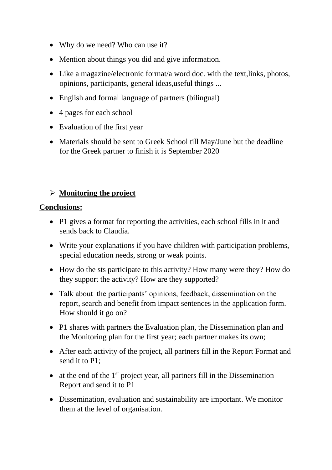- Why do we need? Who can use it?
- Mention about things you did and give information.
- Like a magazine/electronic format/a word doc. with the text, links, photos, opinions, participants, general ideas,useful things ...
- English and formal language of partners (bilingual)
- 4 pages for each school
- Evaluation of the first year
- Materials should be sent to Greek School till May/June but the deadline for the Greek partner to finish it is September 2020

### ➢ **Monitoring the project**

#### **Conclusions:**

- P1 gives a format for reporting the activities, each school fills in it and sends back to Claudia.
- Write your explanations if you have children with participation problems, special education needs, strong or weak points.
- How do the sts participate to this activity? How many were they? How do they support the activity? How are they supported?
- Talk about the participants' opinions, feedback, dissemination on the report, search and benefit from impact sentences in the application form. How should it go on?
- P1 shares with partners the Evaluation plan, the Dissemination plan and the Monitoring plan for the first year; each partner makes its own;
- After each activity of the project, all partners fill in the Report Format and send it to P1;
- at the end of the  $1<sup>st</sup>$  project year, all partners fill in the Dissemination Report and send it to P1
- Dissemination, evaluation and sustainability are important. We monitor them at the level of organisation.